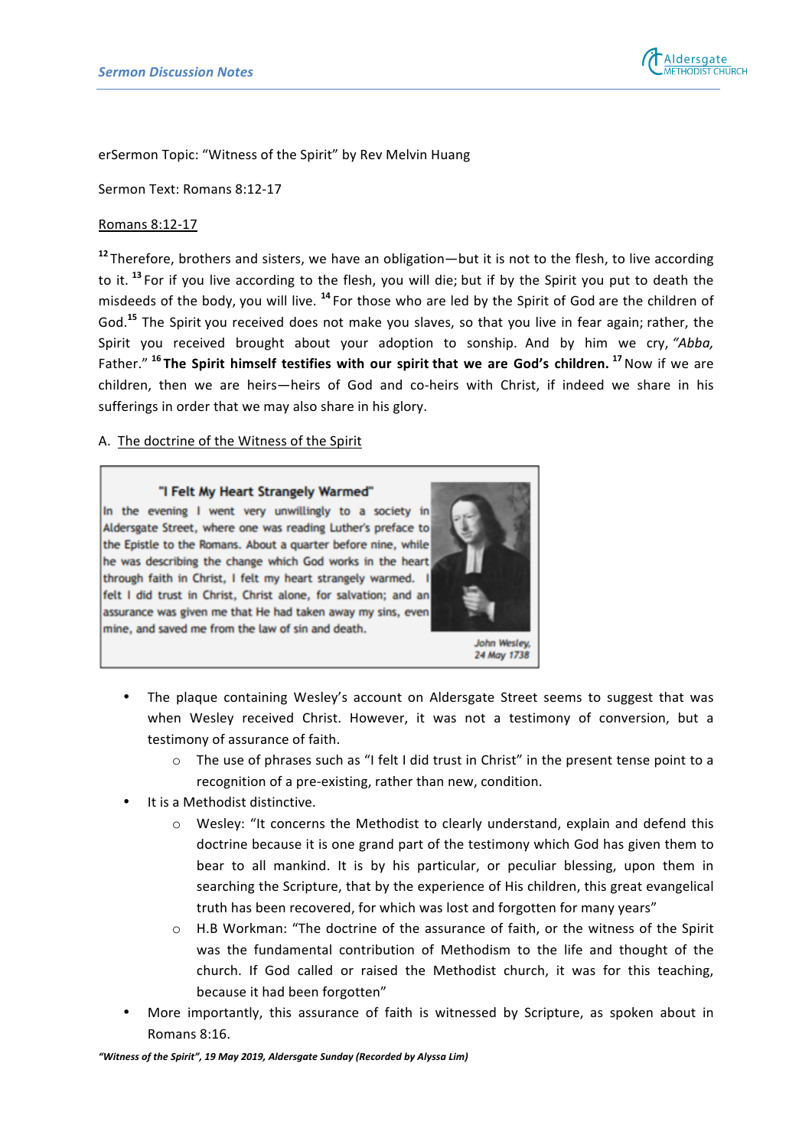

erSermon Topic: "Witness of the Spirit" by Rev Melvin Huang

Sermon Text: Romans 8:12-17 

## Romans 8:12-17

<sup>12</sup> Therefore, brothers and sisters, we have an obligation—but it is not to the flesh, to live according to it. <sup>13</sup> For if you live according to the flesh, you will die; but if by the Spirit you put to death the misdeeds of the body, you will live. <sup>14</sup> For those who are led by the Spirit of God are the children of God.<sup>15</sup> The Spirit you received does not make you slaves, so that you live in fear again; rather, the Spirit you received brought about your adoption to sonship. And by him we cry, "Abba, Father." <sup>16</sup> The Spirit himself testifies with our spirit that we are God's children. <sup>17</sup> Now if we are children, then we are heirs—heirs of God and co-heirs with Christ, if indeed we share in his sufferings in order that we may also share in his glory.

## A. The doctrine of the Witness of the Spirit

#### "I Felt My Heart Strangely Warmed"

In the evening I went very unwillingly to a society in Aldersgate Street, where one was reading Luther's preface to the Epistle to the Romans. About a quarter before nine, while he was describing the change which God works in the heart through faith in Christ, I felt my heart strangely warmed. I felt I did trust in Christ, Christ alone, for salvation; and an assurance was given me that He had taken away my sins, even mine, and saved me from the law of sin and death.



24 May 1738

- The plaque containing Wesley's account on Aldersgate Street seems to suggest that was when Wesley received Christ. However, it was not a testimony of conversion, but a testimony of assurance of faith.
	- $\circ$  The use of phrases such as "I felt I did trust in Christ" in the present tense point to a recognition of a pre-existing, rather than new, condition.
- It is a Methodist distinctive.
	- $\circ$  Wesley: "It concerns the Methodist to clearly understand, explain and defend this doctrine because it is one grand part of the testimony which God has given them to bear to all mankind. It is by his particular, or peculiar blessing, upon them in searching the Scripture, that by the experience of His children, this great evangelical truth has been recovered, for which was lost and forgotten for many years"
	- $\circ$  H.B Workman: "The doctrine of the assurance of faith, or the witness of the Spirit was the fundamental contribution of Methodism to the life and thought of the church. If God called or raised the Methodist church, it was for this teaching, because it had been forgotten"
- More importantly, this assurance of faith is witnessed by Scripture, as spoken about in Romans 8:16.